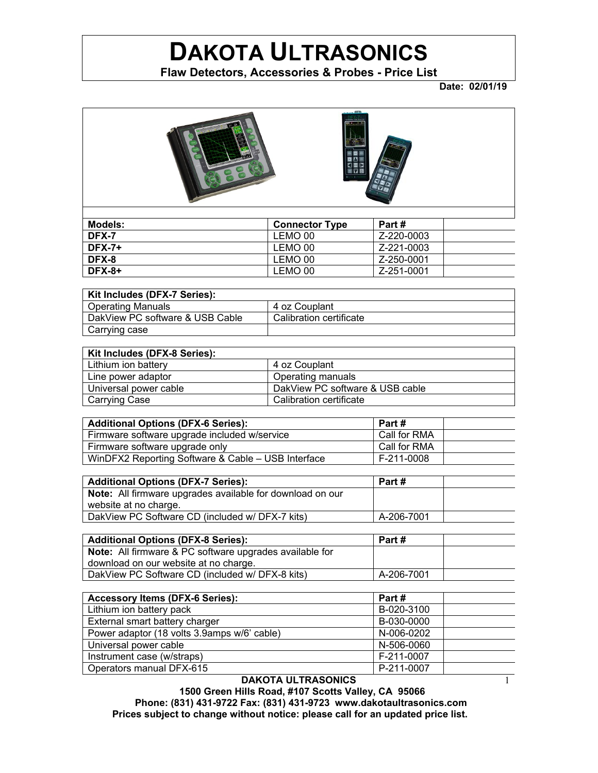## **DAKOTA ULTRASONICS**

**Flaw Detectors, Accessories & Probes - Price List**

**Date: 02/01/19** 

1



| Models:  | <b>Connector Type</b> | Part#      |
|----------|-----------------------|------------|
| DFX-7    | LEMO 00               | Z-220-0003 |
| $DFX-7+$ | LEMO 00               | Z-221-0003 |
| DFX-8    | LEMO 00               | Z-250-0001 |
| $DFX-8+$ | LEMO 00               | Z-251-0001 |

| Kit Includes (DFX-7 Series):    |                         |
|---------------------------------|-------------------------|
| <b>Operating Manuals</b>        | 4 oz Couplant           |
| DakView PC software & USB Cable | Calibration certificate |
| Carrying case                   |                         |

| Kit Includes (DFX-8 Series):                             |                         |
|----------------------------------------------------------|-------------------------|
| Lithium ion battery                                      | 4 oz Couplant           |
| Line power adaptor                                       | Operating manuals       |
| DakView PC software & USB cable<br>Universal power cable |                         |
| Carrying Case                                            | Calibration certificate |

| <b>Additional Options (DFX-6 Series):</b>          | Part #       |
|----------------------------------------------------|--------------|
| Firmware software upgrade included w/service       | Call for RMA |
| Firmware software upgrade only                     | Call for RMA |
| WinDFX2 Reporting Software & Cable - USB Interface | F-211-0008   |

| <b>Additional Options (DFX-7 Series):</b>                        | Part #     |  |
|------------------------------------------------------------------|------------|--|
| <b>Note:</b> All firmware upgrades available for download on our |            |  |
| website at no charge.                                            |            |  |
| DakView PC Software CD (included w/ DFX-7 kits)                  | A-206-7001 |  |

| <b>Additional Options (DFX-8 Series):</b>                      | Part #     |  |
|----------------------------------------------------------------|------------|--|
| <b>Note:</b> All firmware & PC software upgrades available for |            |  |
| download on our website at no charge.                          |            |  |
| DakView PC Software CD (included w/ DFX-8 kits)                | A-206-7001 |  |

| <b>Accessory Items (DFX-6 Series):</b>      | Part#      |  |
|---------------------------------------------|------------|--|
| Lithium ion battery pack                    | B-020-3100 |  |
| External smart battery charger              | B-030-0000 |  |
| Power adaptor (18 volts 3.9amps w/6' cable) | N-006-0202 |  |
| Universal power cable                       | N-506-0060 |  |
| Instrument case (w/straps)                  | F-211-0007 |  |
| Operators manual DFX-615                    | P-211-0007 |  |

**DAKOTA ULTRASONICS**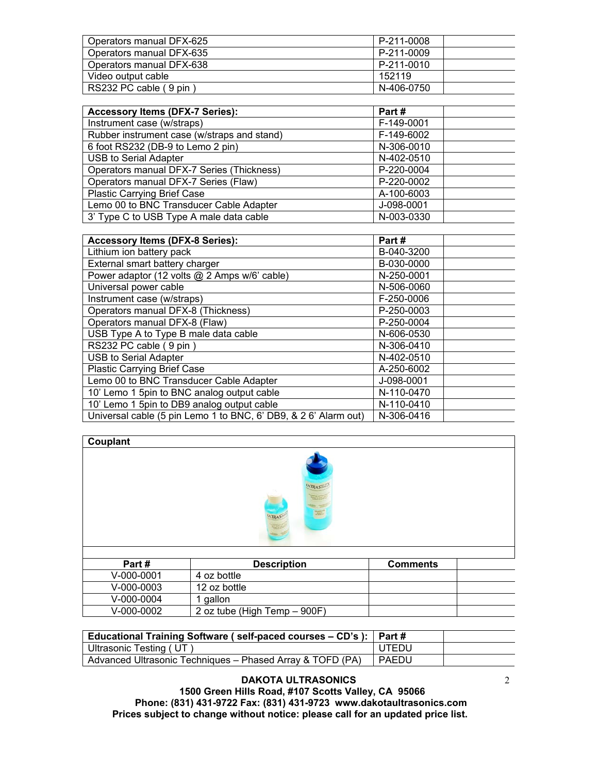| Operators manual DFX-625 | P-211-0008 |
|--------------------------|------------|
| Operators manual DFX-635 | P-211-0009 |
| Operators manual DFX-638 | P-211-0010 |
| Video output cable       | 152119     |
| RS232 PC cable (9 pin)   | N-406-0750 |

| <b>Accessory Items (DFX-7 Series):</b>      | Part#      |  |
|---------------------------------------------|------------|--|
| Instrument case (w/straps)                  | F-149-0001 |  |
| Rubber instrument case (w/straps and stand) | F-149-6002 |  |
| 6 foot RS232 (DB-9 to Lemo 2 pin)           | N-306-0010 |  |
| <b>USB to Serial Adapter</b>                | N-402-0510 |  |
| Operators manual DFX-7 Series (Thickness)   | P-220-0004 |  |
| Operators manual DFX-7 Series (Flaw)        | P-220-0002 |  |
| <b>Plastic Carrying Brief Case</b>          | A-100-6003 |  |
| Lemo 00 to BNC Transducer Cable Adapter     | J-098-0001 |  |
| 3' Type C to USB Type A male data cable     | N-003-0330 |  |

| <b>Accessory Items (DFX-8 Series):</b>                          | Part#      |
|-----------------------------------------------------------------|------------|
| Lithium ion battery pack                                        | B-040-3200 |
| External smart battery charger                                  | B-030-0000 |
| Power adaptor (12 volts @ 2 Amps w/6' cable)                    | N-250-0001 |
| Universal power cable                                           | N-506-0060 |
| Instrument case (w/straps)                                      | F-250-0006 |
| Operators manual DFX-8 (Thickness)                              | P-250-0003 |
| Operators manual DFX-8 (Flaw)                                   | P-250-0004 |
| USB Type A to Type B male data cable                            | N-606-0530 |
| RS232 PC cable (9 pin)                                          | N-306-0410 |
| <b>USB to Serial Adapter</b>                                    | N-402-0510 |
| Plastic Carrying Brief Case                                     | A-250-6002 |
| Lemo 00 to BNC Transducer Cable Adapter                         | J-098-0001 |
| 10' Lemo 1 5pin to BNC analog output cable                      | N-110-0470 |
| 10' Lemo 1 5pin to DB9 analog output cable                      | N-110-0410 |
| Universal cable (5 pin Lemo 1 to BNC, 6' DB9, & 2 6' Alarm out) | N-306-0416 |

| Jubiant |
|---------|
|         |



| Part#        | <b>Description</b>           | <b>Comments</b> |
|--------------|------------------------------|-----------------|
| $V-000-0001$ | 4 oz bottle                  |                 |
| $V-000-0003$ | 12 oz bottle                 |                 |
| $V-000-0004$ | qallon                       |                 |
| $V-000-0002$ | 2 oz tube (High Temp – 900F) |                 |

| Educational Training Software (self-paced courses – CD's):   Part # |         |  |
|---------------------------------------------------------------------|---------|--|
| Ultrasonic Testing (UT)                                             | UTEDU   |  |
| Advanced Ultrasonic Techniques - Phased Array & TOFD (PA)           | I PAEDU |  |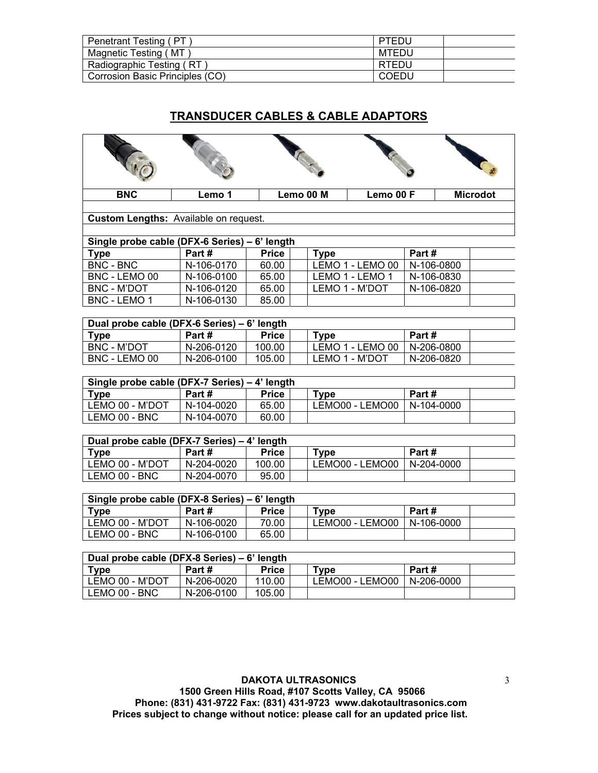| Penetrant Testing (PT           | PTEDU        |
|---------------------------------|--------------|
| Magnetic Testing ( MT )         | MTEDU        |
| Radiographic Testing (RT)       | <b>RTEDU</b> |
| Corrosion Basic Principles (CO) | COEDU        |

#### **TRANSDUCER CABLES & CABLE ADAPTORS**

| KIP                                                          | AG SE      |              | ACE         | <b>CONTROLL</b>  |                  |                 |
|--------------------------------------------------------------|------------|--------------|-------------|------------------|------------------|-----------------|
| <b>BNC</b>                                                   | Lemo 1     |              | Lemo 00 M   | Lemo 00 F        |                  | <b>Microdot</b> |
|                                                              |            |              |             |                  |                  |                 |
| Custom Lengths: Available on request.                        |            |              |             |                  |                  |                 |
| Single probe cable (DFX-6 Series) - 6' length                |            |              |             |                  |                  |                 |
| <b>Type</b>                                                  | Part#      | <b>Price</b> | <b>Type</b> |                  | Part#            |                 |
| <b>BNC - BNC</b>                                             | N-106-0170 | 60.00        |             | LEMO 1 - LEMO 00 | N-106-0800       |                 |
| BNC - LEMO 00                                                | N-106-0100 | 65.00        |             | LEMO 1 - LEMO 1  | N-106-0830       |                 |
| <b>BNC - M'DOT</b>                                           | N-106-0120 | 65.00        |             | LEMO 1 - M'DOT   | N-106-0820       |                 |
| <b>BNC - LEMO 1</b>                                          | N-106-0130 | 85.00        |             |                  |                  |                 |
|                                                              |            |              |             |                  |                  |                 |
| Dual probe cable (DFX-6 Series) - 6' length                  |            |              |             |                  |                  |                 |
| <b>Type</b>                                                  | Part#      | <b>Price</b> | <b>Type</b> |                  | Part#            |                 |
| <b>BNC - M'DOT</b>                                           | N-206-0120 | 100.00       |             | LEMO 1 - LEMO 00 | $N - 206 - 0800$ |                 |
| BNC - LEMO 00                                                | N-206-0100 | 105.00       |             | LEMO 1 - M'DOT   | N-206-0820       |                 |
| Single probe cable (DFX-7 Series) - 4' length<br><b>Type</b> | Part#      | <b>Price</b> | <b>Type</b> |                  | Part#            |                 |
| LEMO 00 - M'DOT                                              | N-104-0020 | 65.00        |             | LEMO00 - LEMO00  | N-104-0000       |                 |
| LEMO 00 - BNC                                                | N-104-0070 | 60.00        |             |                  |                  |                 |
|                                                              |            |              |             |                  |                  |                 |
| Dual probe cable (DFX-7 Series) - 4' length                  |            |              |             |                  |                  |                 |
| <b>Type</b>                                                  | Part#      | <b>Price</b> | <b>Type</b> |                  | Part#            |                 |
| LEMO 00 - M'DOT                                              | N-204-0020 | 100.00       |             | LEMO00 - LEMO00  | N-204-0000       |                 |
| LEMO 00 - BNC                                                | N-204-0070 | 95.00        |             |                  |                  |                 |
|                                                              |            |              |             |                  |                  |                 |
| Single probe cable (DFX-8 Series) - 6' length                |            |              |             |                  |                  |                 |
| <b>Type</b>                                                  | Part#      | <b>Price</b> | <b>Type</b> |                  | Part#            |                 |
| LEMO 00 - M'DOT                                              | N-106-0020 | 70.00        |             | LEMO00 - LEMO00  | N-106-0000       |                 |
| LEMO 00 - BNC                                                | N-106-0100 | 65.00        |             |                  |                  |                 |
|                                                              |            |              |             |                  |                  |                 |
| Dual probe cable (DFX-8 Series) - 6' length                  |            |              |             |                  |                  |                 |
| <b>Type</b>                                                  | Part#      | <b>Price</b> | <b>Type</b> |                  | Part#            |                 |
| LEMO 00 - M'DOT                                              | N-206-0020 | 110.00       |             | LEMO00 - LEMO00  | N-206-0000       |                 |
| LEMO 00 - BNC                                                | N-206-0100 | 105.00       |             |                  |                  |                 |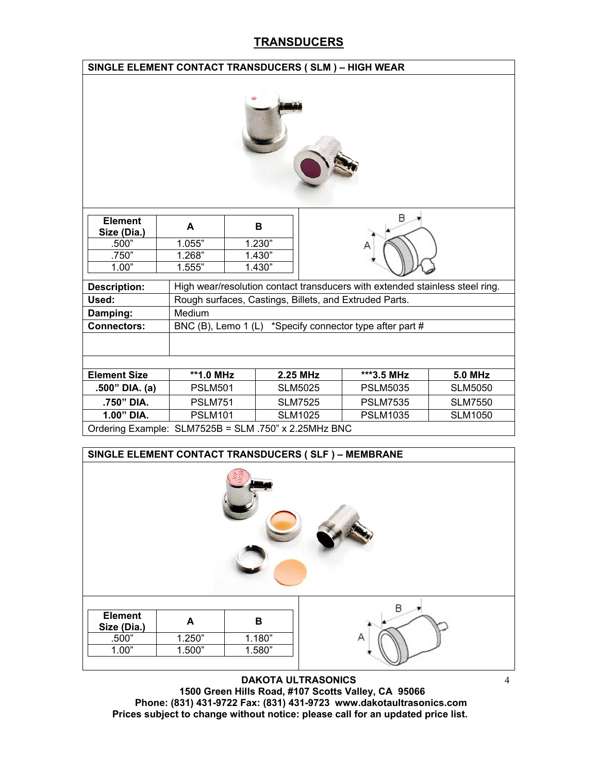### **TRANSDUCERS**

|                                                      | SINGLE ELEMENT CONTACT TRANSDUCERS (SLM) - HIGH WEAR |  |        |                |                                                                              |                |  |
|------------------------------------------------------|------------------------------------------------------|--|--------|----------------|------------------------------------------------------------------------------|----------------|--|
|                                                      |                                                      |  |        |                |                                                                              |                |  |
| <b>Element</b><br>Size (Dia.)                        | A                                                    |  | в      |                |                                                                              |                |  |
| .500"                                                | 1.055"                                               |  | 1.230" |                |                                                                              |                |  |
| .750"                                                | 1.268"                                               |  | 1.430" |                |                                                                              |                |  |
| 1.00"                                                | 1.555"                                               |  | 1.430" |                |                                                                              |                |  |
| <b>Description:</b>                                  |                                                      |  |        |                | High wear/resolution contact transducers with extended stainless steel ring. |                |  |
| Used:                                                |                                                      |  |        |                | Rough surfaces, Castings, Billets, and Extruded Parts.                       |                |  |
| Damping:                                             | Medium                                               |  |        |                |                                                                              |                |  |
| <b>Connectors:</b>                                   |                                                      |  |        |                | BNC (B), Lemo 1 (L) *Specify connector type after part #                     |                |  |
|                                                      |                                                      |  |        |                |                                                                              |                |  |
|                                                      |                                                      |  |        |                |                                                                              |                |  |
| <b>Element Size</b>                                  | **1.0 MHz                                            |  |        | 2.25 MHz       | ***3.5 MHz                                                                   | <b>5.0 MHz</b> |  |
| .500" DIA. (a)                                       | <b>PSLM501</b>                                       |  |        | <b>SLM5025</b> | <b>PSLM5035</b>                                                              | <b>SLM5050</b> |  |
| .750" DIA.                                           | <b>PSLM751</b>                                       |  |        | <b>SLM7525</b> | <b>PSLM7535</b>                                                              | <b>SLM7550</b> |  |
| 1.00" DIA.                                           | <b>PSLM101</b>                                       |  |        | <b>SLM1025</b> | <b>PSLM1035</b>                                                              | <b>SLM1050</b> |  |
| Ordering Example: SLM7525B = SLM .750" x 2.25MHz BNC |                                                      |  |        |                |                                                                              |                |  |

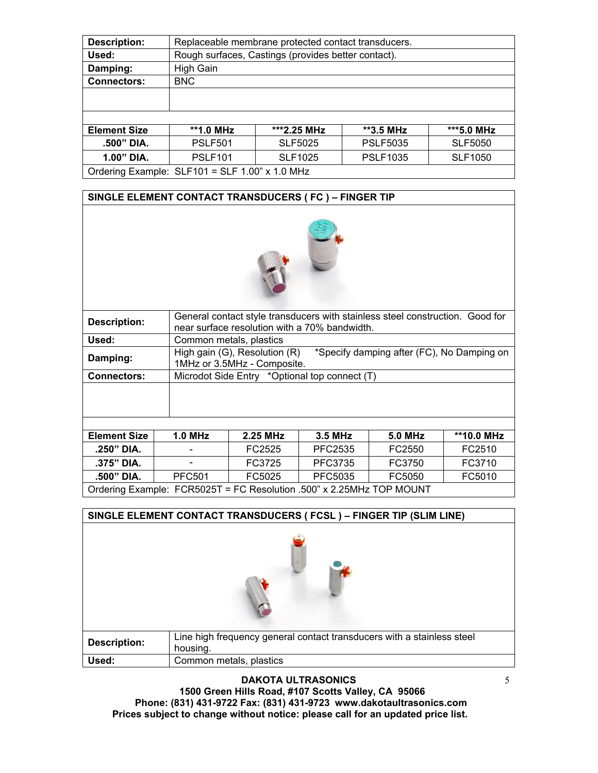| <b>Description:</b> | Replaceable membrane protected contact transducers.                   |                |                 |                |  |  |
|---------------------|-----------------------------------------------------------------------|----------------|-----------------|----------------|--|--|
| Used:               | Rough surfaces, Castings (provides better contact).                   |                |                 |                |  |  |
| Damping:            | High Gain                                                             |                |                 |                |  |  |
| <b>Connectors:</b>  | <b>BNC</b>                                                            |                |                 |                |  |  |
|                     |                                                                       |                |                 |                |  |  |
|                     |                                                                       |                |                 |                |  |  |
|                     |                                                                       |                |                 |                |  |  |
| <b>Element Size</b> | **1.0 MHz                                                             | ***2.25 MHz    | **3.5 MHz       | ***5.0 MHz     |  |  |
| .500" DIA.          | <b>PSLF5035</b><br><b>PSLF501</b><br><b>SLF5025</b><br><b>SLF5050</b> |                |                 |                |  |  |
| 1.00" DIA.          | <b>PSLF101</b>                                                        | <b>SLF1025</b> | <b>PSLF1035</b> | <b>SLF1050</b> |  |  |
|                     | Ordering Example: SLF101 = SLF 1.00" x 1.0 MHz                        |                |                 |                |  |  |

#### **SINGLE ELEMENT CONTACT TRANSDUCERS ( FC ) – FINGER TIP**



| <b>Description:</b> |                                                                      | General contact style transducers with stainless steel construction. Good for<br>near surface resolution with a 70% bandwidth. |                                               |                |            |  |  |  |
|---------------------|----------------------------------------------------------------------|--------------------------------------------------------------------------------------------------------------------------------|-----------------------------------------------|----------------|------------|--|--|--|
| Used:               |                                                                      | Common metals, plastics                                                                                                        |                                               |                |            |  |  |  |
| Damping:            |                                                                      | High gain (G), Resolution (R)<br>*Specify damping after (FC), No Damping on<br>1MHz or 3.5MHz - Composite.                     |                                               |                |            |  |  |  |
| <b>Connectors:</b>  |                                                                      |                                                                                                                                | Microdot Side Entry *Optional top connect (T) |                |            |  |  |  |
|                     |                                                                      |                                                                                                                                |                                               |                |            |  |  |  |
| <b>Element Size</b> | $1.0$ MHz                                                            | 2.25 MHz                                                                                                                       | 3.5 MHz                                       | <b>5.0 MHz</b> | **10.0 MHz |  |  |  |
| $.250"$ DIA.        |                                                                      | FC2525                                                                                                                         | PFC2535                                       | FC2550         | FC2510     |  |  |  |
| .375" DIA.          |                                                                      | FC3725                                                                                                                         | PFC3735                                       | FC3750         | FC3710     |  |  |  |
| .500" DIA.          | <b>PFC501</b>                                                        | FC5025                                                                                                                         | PFC5035                                       | FC5050         | FC5010     |  |  |  |
|                     | Ordering Example: FCR5025T = FC Resolution .500" x 2.25MHz TOP MOUNT |                                                                                                                                |                                               |                |            |  |  |  |

|                     | SINGLE ELEMENT CONTACT TRANSDUCERS ( FCSL ) - FINGER TIP (SLIM LINE)               |
|---------------------|------------------------------------------------------------------------------------|
|                     |                                                                                    |
| <b>Description:</b> | Line high frequency general contact transducers with a stainless steel<br>housing. |
| Used:               | Common metals, plastics                                                            |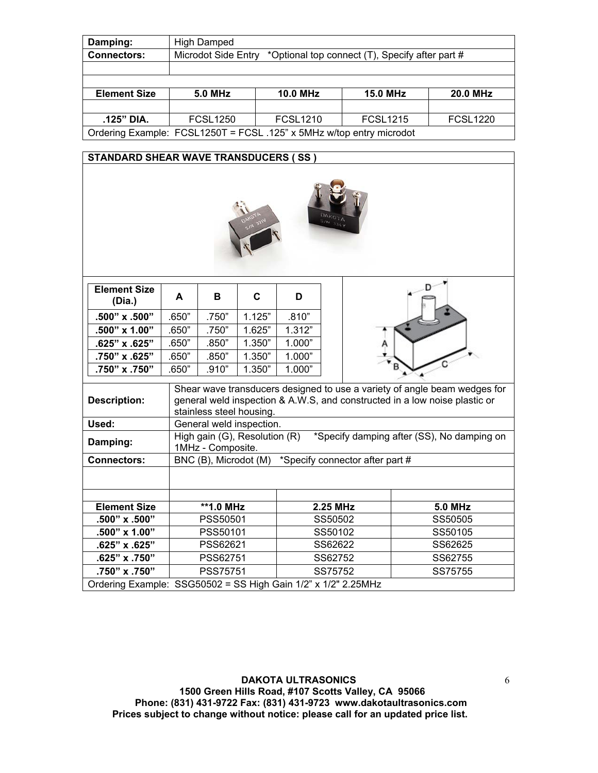| Damping:            | <b>High Damped</b>                                                     |                 |                 |                 |  |  |  |
|---------------------|------------------------------------------------------------------------|-----------------|-----------------|-----------------|--|--|--|
| <b>Connectors:</b>  | Microdot Side Entry<br>*Optional top connect (T), Specify after part # |                 |                 |                 |  |  |  |
|                     |                                                                        |                 |                 |                 |  |  |  |
|                     |                                                                        |                 |                 |                 |  |  |  |
| <b>Element Size</b> | <b>5.0 MHz</b>                                                         | <b>10.0 MHz</b> | <b>15.0 MHz</b> | <b>20.0 MHz</b> |  |  |  |
|                     |                                                                        |                 |                 |                 |  |  |  |
| .125" DIA.          | <b>FCSL1250</b>                                                        | <b>FCSL1210</b> | <b>FCSL1215</b> | <b>FCSL1220</b> |  |  |  |
|                     | Ordering Example: FCSL1250T = FCSL .125" x 5MHz w/top entry microdot   |                 |                 |                 |  |  |  |
|                     |                                                                        |                 |                 |                 |  |  |  |

#### **STANDARD SHEAR WAVE TRANSDUCERS ( SS )**



| <b>Element Size</b><br>(Dia.)                                 | A     | в                                                  | C      | D      |          |                                                                                                                                                         |
|---------------------------------------------------------------|-------|----------------------------------------------------|--------|--------|----------|---------------------------------------------------------------------------------------------------------------------------------------------------------|
| .500" x .500"                                                 | .650" | .750"                                              | 1.125" | .810"  |          |                                                                                                                                                         |
| .500" x 1.00"                                                 | .650" | .750"                                              | 1.625" | 1.312" |          |                                                                                                                                                         |
| .625" x .625"                                                 | .650" | .850"                                              | 1.350" | 1.000" |          |                                                                                                                                                         |
| .750" x .625"                                                 | .650" | .850"                                              | 1.350" | 1.000" |          |                                                                                                                                                         |
| .750" x .750"                                                 | .650" | .910"                                              | 1.350" | 1.000" |          |                                                                                                                                                         |
| <b>Description:</b>                                           |       | stainless steel housing.                           |        |        |          | Shear wave transducers designed to use a variety of angle beam wedges for<br>general weld inspection & A.W.S, and constructed in a low noise plastic or |
| Used:                                                         |       | General weld inspection.                           |        |        |          |                                                                                                                                                         |
| Damping:                                                      |       | High gain (G), Resolution (R)<br>1MHz - Composite. |        |        |          | *Specify damping after (SS), No damping on                                                                                                              |
| <b>Connectors:</b>                                            |       |                                                    |        |        |          | BNC (B), Microdot (M) *Specify connector after part #                                                                                                   |
|                                                               |       |                                                    |        |        |          |                                                                                                                                                         |
| <b>Element Size</b>                                           |       | **1.0 MHz                                          |        |        | 2.25 MHz | <b>5.0 MHz</b>                                                                                                                                          |
| .500" x .500"                                                 |       | PSS50501                                           |        |        | SS50502  | SS50505                                                                                                                                                 |
| .500" x 1.00"                                                 |       | PSS50101                                           |        |        | SS50102  | SS50105                                                                                                                                                 |
| .625" x .625"                                                 |       | PSS62621                                           |        |        | SS62622  | SS62625                                                                                                                                                 |
| .625" x .750"                                                 |       | PSS62751                                           |        |        | SS62752  | SS62755                                                                                                                                                 |
| .750" x .750"                                                 |       | <b>PSS75751</b>                                    |        |        | SS75752  | SS75755                                                                                                                                                 |
| Ordering Example: SSG50502 = SS High Gain 1/2" x 1/2" 2.25MHz |       |                                                    |        |        |          |                                                                                                                                                         |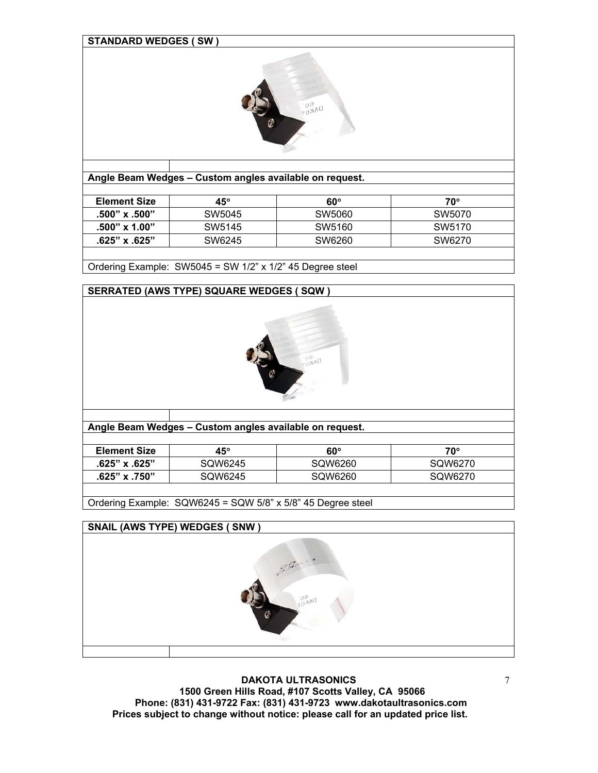| <b>STANDARD WEDGES (SW)</b>    |                                                         |                  |                  |  |  |  |
|--------------------------------|---------------------------------------------------------|------------------|------------------|--|--|--|
|                                |                                                         |                  |                  |  |  |  |
|                                | Angle Beam Wedges - Custom angles available on request. |                  |                  |  |  |  |
|                                |                                                         |                  |                  |  |  |  |
| <b>Element Size</b>            | $45^\circ$                                              | $60^\circ$       | $70^\circ$       |  |  |  |
| .500" x .500"<br>.500" x 1.00" | SW5045<br>SW5145                                        | SW5060<br>SW5160 | SW5070<br>SW5170 |  |  |  |

Ordering Example: SW5045 = SW 1/2" x 1/2" 45 Degree steel

# **SERRATED (AWS TYPE) SQUARE WEDGES ( SQW )**   $2\lambda$ d **Angle Beam Wedges – Custom angles available on request. Element Size 45<sup>°</sup> 45<sup>°</sup> 60<sup>°</sup> 70<sup>°</sup> .625" x .625"** SQW6245 SQW6260 SQW6270 **.625" x .750"** SQW6245 SQW6260 SQW6270 Ordering Example: SQW6245 = SQW 5/8" x 5/8" 45 Degree steel

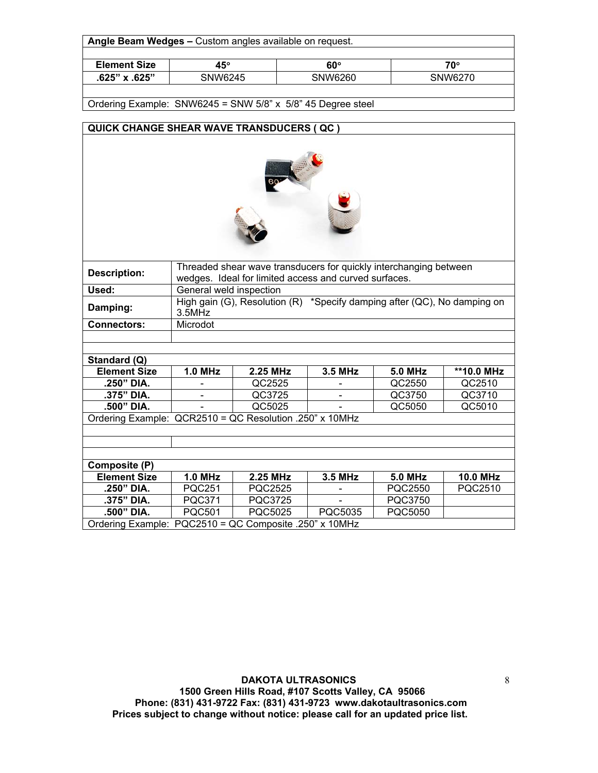| <b>Element Size</b>                                         | $45^\circ$ | $60^\circ$ | 70°     |  |  |  |
|-------------------------------------------------------------|------------|------------|---------|--|--|--|
| $.625"$ x $.625"$                                           | SNW6245    | SNW6260    | SNW6270 |  |  |  |
| Ordering Example: SNW6245 = SNW 5/8" x 5/8" 45 Degree steel |            |            |         |  |  |  |



|                     | Threaded shear wave transducers for quickly interchanging between                    |                                                       |         |                |                 |  |  |
|---------------------|--------------------------------------------------------------------------------------|-------------------------------------------------------|---------|----------------|-----------------|--|--|
| <b>Description:</b> |                                                                                      | wedges. Ideal for limited access and curved surfaces. |         |                |                 |  |  |
| Used:               | General weld inspection                                                              |                                                       |         |                |                 |  |  |
| Damping:            | High gain (G), Resolution $(R)$ *Specify damping after (QC), No damping on<br>3.5MHz |                                                       |         |                |                 |  |  |
| <b>Connectors:</b>  | Microdot                                                                             |                                                       |         |                |                 |  |  |
|                     |                                                                                      |                                                       |         |                |                 |  |  |
|                     |                                                                                      |                                                       |         |                |                 |  |  |
| Standard (Q)        |                                                                                      |                                                       |         |                |                 |  |  |
| <b>Element Size</b> | $1.0$ MHz                                                                            | 2.25 MHz                                              | 3.5 MHz | <b>5.0 MHz</b> | **10.0 MHz      |  |  |
| .250" DIA.          |                                                                                      | QC2525                                                |         | QC2550         | QC2510          |  |  |
| .375" DIA.          |                                                                                      | QC3725                                                |         | QC3750         | QC3710          |  |  |
| .500" DIA.          |                                                                                      | QC5025                                                |         | QC5050         | QC5010          |  |  |
|                     | Ordering Example: QCR2510 = QC Resolution .250" x 10MHz                              |                                                       |         |                |                 |  |  |
|                     |                                                                                      |                                                       |         |                |                 |  |  |
|                     |                                                                                      |                                                       |         |                |                 |  |  |
|                     |                                                                                      |                                                       |         |                |                 |  |  |
| Composite (P)       |                                                                                      |                                                       |         |                |                 |  |  |
| <b>Element Size</b> | <b>1.0 MHz</b>                                                                       | 2.25 MHz                                              | 3.5 MHz | <b>5.0 MHz</b> | <b>10.0 MHz</b> |  |  |
| .250" DIA.          | <b>PQC251</b>                                                                        | PQC2525                                               |         | PQC2550        | PQC2510         |  |  |
| .375" DIA.          | <b>PQC371</b>                                                                        | <b>PQC3725</b>                                        |         | PQC3750        |                 |  |  |

**.500" DIA.** PQC501 PQC5025 PQC5035 PQC5050

Ordering Example: PQC2510 = QC Composite .250" x 10MHz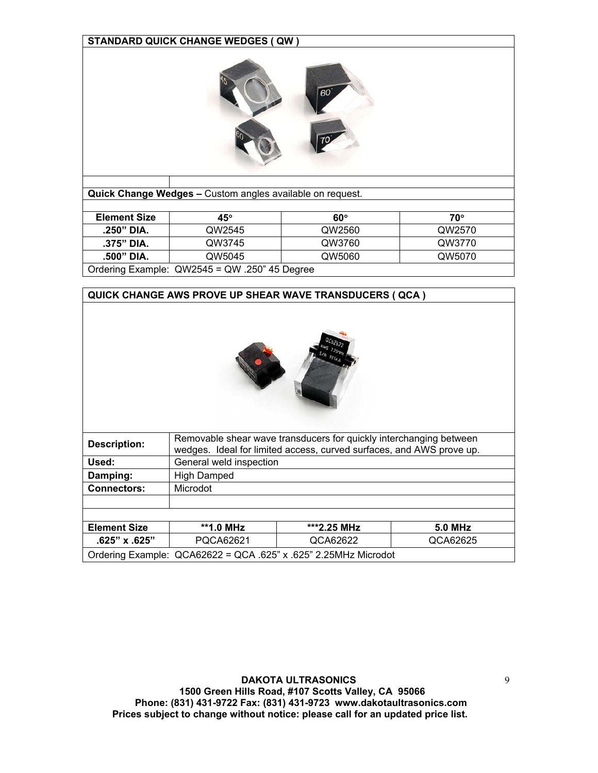

**Quick Change Wedges –** Custom angles available on request.

| <b>Element Size</b>                           | 45°    | $60^\circ$ | 70°    |  |  |
|-----------------------------------------------|--------|------------|--------|--|--|
| .250" DIA.                                    | QW2545 | QW2560     | QW2570 |  |  |
| .375" DIA.                                    | QW3745 | QW3760     | QW3770 |  |  |
| QW5060<br>.500" DIA.<br>QW5045<br>QW5070      |        |            |        |  |  |
| Ordering Example: QW2545 = QW .250" 45 Degree |        |            |        |  |  |

| QUICK CHANGE AWS PROVE UP SHEAR WAVE TRANSDUCERS ( QCA ) |                         |                                                                                                                                            |                |  |  |  |  |
|----------------------------------------------------------|-------------------------|--------------------------------------------------------------------------------------------------------------------------------------------|----------------|--|--|--|--|
|                                                          |                         |                                                                                                                                            |                |  |  |  |  |
| <b>Description:</b>                                      |                         | Removable shear wave transducers for quickly interchanging between<br>wedges. Ideal for limited access, curved surfaces, and AWS prove up. |                |  |  |  |  |
| Used:                                                    | General weld inspection |                                                                                                                                            |                |  |  |  |  |
| Damping:                                                 | <b>High Damped</b>      |                                                                                                                                            |                |  |  |  |  |
| <b>Connectors:</b>                                       | Microdot                |                                                                                                                                            |                |  |  |  |  |
|                                                          |                         |                                                                                                                                            |                |  |  |  |  |
|                                                          |                         |                                                                                                                                            |                |  |  |  |  |
| <b>Element Size</b>                                      | **1.0 MHz               | ***2.25 MHz                                                                                                                                | <b>5.0 MHz</b> |  |  |  |  |
| $.625" \times .625"$                                     | PQCA62621               | QCA62622                                                                                                                                   | QCA62625       |  |  |  |  |
|                                                          |                         | Ordering Example: QCA62622 = QCA .625" x .625" 2.25MHz Microdot                                                                            |                |  |  |  |  |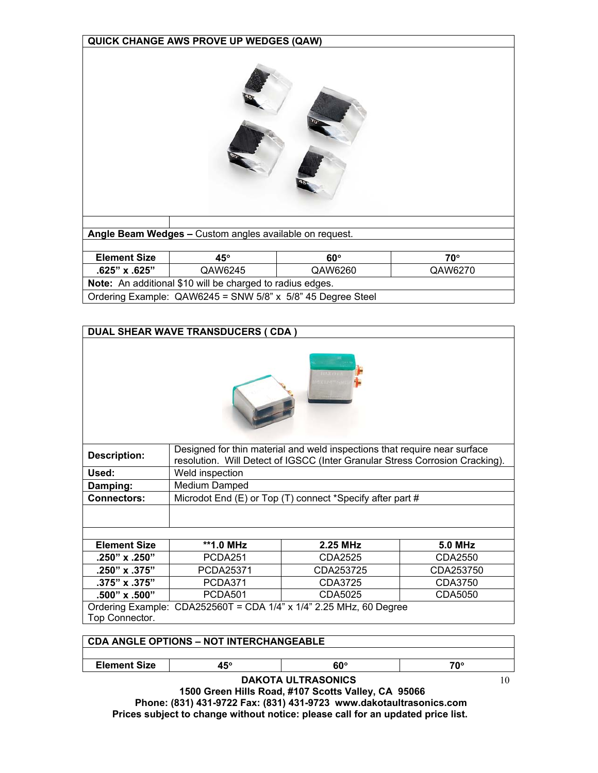| <b>QUICK CHANGE AWS PROVE UP WEDGES (QAW)</b>           |                                                             |            |            |  |  |  |  |  |
|---------------------------------------------------------|-------------------------------------------------------------|------------|------------|--|--|--|--|--|
|                                                         |                                                             |            |            |  |  |  |  |  |
| Angle Beam Wedges - Custom angles available on request. |                                                             |            |            |  |  |  |  |  |
|                                                         |                                                             |            |            |  |  |  |  |  |
| <b>Element Size</b>                                     | $45^\circ$                                                  | $60^\circ$ | $70^\circ$ |  |  |  |  |  |
| .625" x .625"                                           | QAW6245<br>QAW6260<br>QAW6270                               |            |            |  |  |  |  |  |
|                                                         | Note: An additional \$10 will be charged to radius edges.   |            |            |  |  |  |  |  |
|                                                         | Ordering Example: QAW6245 = SNW 5/8" x 5/8" 45 Degree Steel |            |            |  |  |  |  |  |

| <b>DUAL SHEAR WAVE TRANSDUCERS ( CDA )</b> |                                                |                                                                                                                                                           |                |  |  |  |  |  |
|--------------------------------------------|------------------------------------------------|-----------------------------------------------------------------------------------------------------------------------------------------------------------|----------------|--|--|--|--|--|
|                                            |                                                |                                                                                                                                                           |                |  |  |  |  |  |
| <b>Description:</b>                        |                                                | Designed for thin material and weld inspections that require near surface<br>resolution. Will Detect of IGSCC (Inter Granular Stress Corrosion Cracking). |                |  |  |  |  |  |
| Used:                                      | Weld inspection                                |                                                                                                                                                           |                |  |  |  |  |  |
| Damping:                                   | Medium Damped                                  |                                                                                                                                                           |                |  |  |  |  |  |
| <b>Connectors:</b>                         |                                                | Microdot End (E) or Top (T) connect *Specify after part #                                                                                                 |                |  |  |  |  |  |
|                                            |                                                |                                                                                                                                                           |                |  |  |  |  |  |
| <b>Element Size</b>                        | **1.0 MHz                                      | 2.25 MHz                                                                                                                                                  | <b>5.0 MHz</b> |  |  |  |  |  |
| .250" x .250"                              | PCDA <sub>251</sub>                            | CDA2525                                                                                                                                                   | CDA2550        |  |  |  |  |  |
| .250" x .375"                              | PCDA25371                                      | CDA253725                                                                                                                                                 | CDA253750      |  |  |  |  |  |
| .375" x .375"                              | PCDA371                                        | CDA3725                                                                                                                                                   | CDA3750        |  |  |  |  |  |
| .500" x .500"                              | <b>PCDA501</b>                                 | CDA5025                                                                                                                                                   | CDA5050        |  |  |  |  |  |
|                                            |                                                | Ordering Example: CDA252560T = CDA 1/4" x 1/4" 2.25 MHz, 60 Degree                                                                                        |                |  |  |  |  |  |
| Top Connector.                             |                                                |                                                                                                                                                           |                |  |  |  |  |  |
|                                            |                                                |                                                                                                                                                           |                |  |  |  |  |  |
|                                            | <b>CDA ANGLE OPTIONS - NOT INTERCHANGEABLE</b> |                                                                                                                                                           |                |  |  |  |  |  |
|                                            |                                                |                                                                                                                                                           |                |  |  |  |  |  |
| <b>Element Size</b>                        | $45^\circ$                                     | $60^\circ$                                                                                                                                                | $70^\circ$     |  |  |  |  |  |

10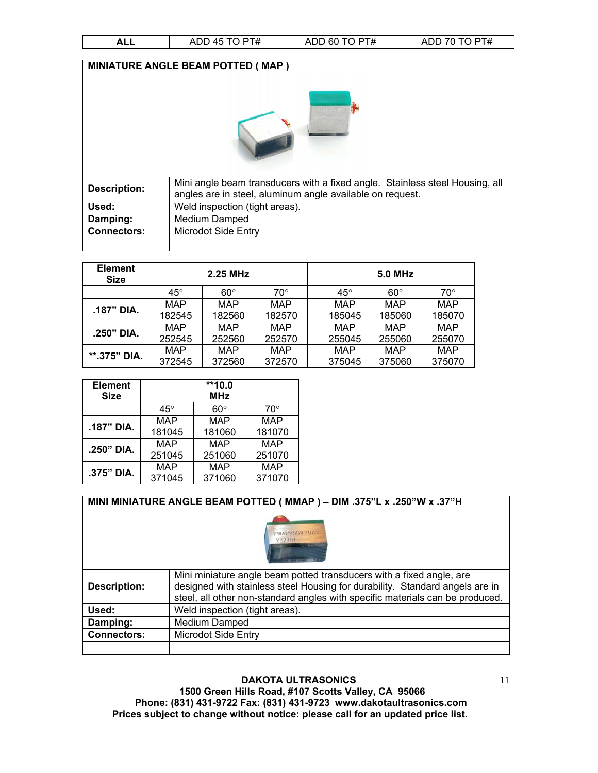| ╕┖┖ | $n\pi$<br>7 D L<br>1 L<br>O<br>שר<br>$\bm{\pi}$<br>∼<br>. . | $\Gamma$<br>60<br>ADL<br>ाम<br>. . | $\Gamma$<br>ADL<br>ח ו<br>◡ |
|-----|-------------------------------------------------------------|------------------------------------|-----------------------------|

| MINIATURE ANGLE BEAM POTTED (MAP) |                                                                                                                                           |  |  |  |  |  |
|-----------------------------------|-------------------------------------------------------------------------------------------------------------------------------------------|--|--|--|--|--|
|                                   |                                                                                                                                           |  |  |  |  |  |
| <b>Description:</b>               | Mini angle beam transducers with a fixed angle. Stainless steel Housing, all<br>angles are in steel, aluminum angle available on request. |  |  |  |  |  |
| Used:                             | Weld inspection (tight areas).                                                                                                            |  |  |  |  |  |
| Damping:                          | Medium Damped                                                                                                                             |  |  |  |  |  |
| <b>Connectors:</b>                | <b>Microdot Side Entry</b>                                                                                                                |  |  |  |  |  |
|                                   |                                                                                                                                           |  |  |  |  |  |

| <b>Element</b><br><b>Size</b> | 2.25 MHz             |                      |               | <b>5.0 MHz</b> |                      |               |                      |
|-------------------------------|----------------------|----------------------|---------------|----------------|----------------------|---------------|----------------------|
|                               | $45^{\circ}$         | $60^\circ$           | 70°           |                | $45^{\circ}$         | $60^\circ$    | $70^{\circ}$         |
| .187" DIA.                    | <b>MAP</b><br>182545 | <b>MAP</b><br>182560 | MAP<br>182570 |                | <b>MAP</b><br>185045 | MAP<br>185060 | <b>MAP</b><br>185070 |
| .250" DIA.                    | <b>MAP</b><br>252545 | <b>MAP</b><br>252560 | MAP<br>252570 |                | MAP<br>255045        | MAP<br>255060 | <b>MAP</b><br>255070 |
| **.375" DIA.                  | MAP<br>372545        | MAP<br>372560        | MAP<br>372570 |                | <b>MAP</b><br>375045 | MAP<br>375060 | <b>MAP</b><br>375070 |

| <b>Element</b> | $*10.0$      |            |              |  |  |  |  |
|----------------|--------------|------------|--------------|--|--|--|--|
| <b>Size</b>    | <b>MHz</b>   |            |              |  |  |  |  |
|                | $45^{\circ}$ | $60^\circ$ | $70^{\circ}$ |  |  |  |  |
| .187" DIA.     | MAP          | <b>MAP</b> | <b>MAP</b>   |  |  |  |  |
|                | 181045       | 181060     | 181070       |  |  |  |  |
| .250" DIA.     | MAP          | MAP        | <b>MAP</b>   |  |  |  |  |
|                | 251045       | 251060     | 251070       |  |  |  |  |
| .375" DIA.     | <b>MAP</b>   | <b>MAP</b> | <b>MAP</b>   |  |  |  |  |
|                | 371045       | 371060     | 371070       |  |  |  |  |

#### **MINI MINIATURE ANGLE BEAM POTTED ( MMAP ) – DIM .375"L x .250"W x .37"H**



| <b>Description:</b> | Mini miniature angle beam potted transducers with a fixed angle, are<br>designed with stainless steel Housing for durability. Standard angels are in<br>steel, all other non-standard angles with specific materials can be produced. |
|---------------------|---------------------------------------------------------------------------------------------------------------------------------------------------------------------------------------------------------------------------------------|
| Used:               | Weld inspection (tight areas).                                                                                                                                                                                                        |
| Damping:            | Medium Damped                                                                                                                                                                                                                         |
| <b>Connectors:</b>  | <b>Microdot Side Entry</b>                                                                                                                                                                                                            |
|                     |                                                                                                                                                                                                                                       |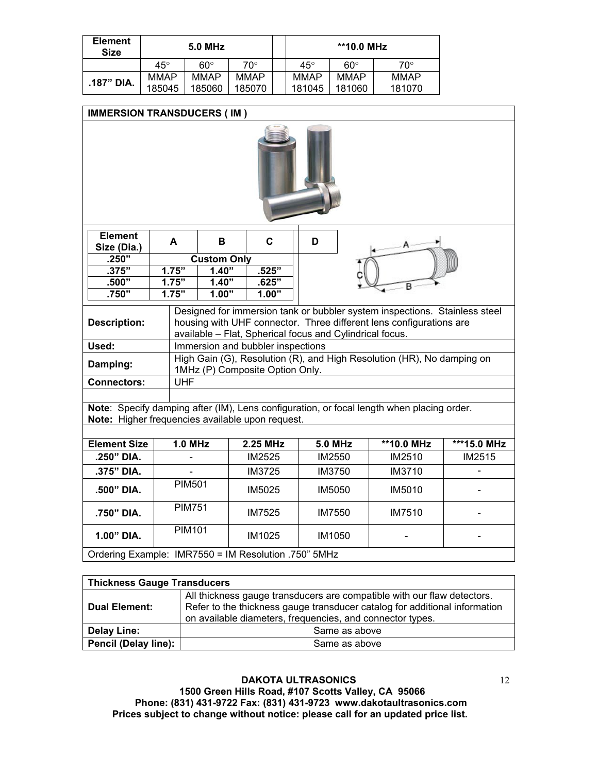| <b>Element</b><br><b>Size</b> | 5.0 MHz      |             |        |              | **10.0 MHz  |             |
|-------------------------------|--------------|-------------|--------|--------------|-------------|-------------|
|                               | $45^{\circ}$ | $60^\circ$  | 70°    | $45^{\circ}$ | $60^\circ$  | 70°         |
| .187" DIA.                    | MMAP         | <b>MMAP</b> | MMAP   | <b>MMAP</b>  | <b>MMAP</b> | <b>MMAP</b> |
|                               | 185045       | 185060      | 185070 | 181045       | 181060      | 181070      |

| <b>IMMERSION TRANSDUCERS (IM)</b>                |                                                      |                                                                  |                |                                                          |                                                                                                                                                   |               |  |  |  |
|--------------------------------------------------|------------------------------------------------------|------------------------------------------------------------------|----------------|----------------------------------------------------------|---------------------------------------------------------------------------------------------------------------------------------------------------|---------------|--|--|--|
|                                                  |                                                      |                                                                  |                |                                                          |                                                                                                                                                   |               |  |  |  |
| <b>Element</b><br>Size (Dia.)                    | A                                                    | B                                                                | C              | D                                                        |                                                                                                                                                   |               |  |  |  |
| .250"                                            |                                                      | <b>Custom Only</b>                                               |                |                                                          |                                                                                                                                                   |               |  |  |  |
| .375"<br>.500"                                   | 1.75"<br>1.75"                                       | 1.40"<br>1.40"                                                   | .525"<br>.625" |                                                          |                                                                                                                                                   |               |  |  |  |
| .750"                                            | 1.75"                                                | 1.00"                                                            | 1.00"          |                                                          |                                                                                                                                                   |               |  |  |  |
|                                                  |                                                      |                                                                  |                |                                                          |                                                                                                                                                   |               |  |  |  |
| <b>Description:</b>                              |                                                      |                                                                  |                | available - Flat, Spherical focus and Cylindrical focus. | Designed for immersion tank or bubbler system inspections. Stainless steel<br>housing with UHF connector. Three different lens configurations are |               |  |  |  |
| Used:                                            |                                                      | Immersion and bubbler inspections                                |                |                                                          |                                                                                                                                                   |               |  |  |  |
| Damping:                                         |                                                      | 1MHz (P) Composite Option Only.                                  |                |                                                          | High Gain (G), Resolution (R), and High Resolution (HR), No damping on                                                                            |               |  |  |  |
| <b>Connectors:</b>                               | <b>UHF</b>                                           |                                                                  |                |                                                          |                                                                                                                                                   |               |  |  |  |
|                                                  |                                                      |                                                                  |                |                                                          |                                                                                                                                                   |               |  |  |  |
| Note: Higher frequencies available upon request. |                                                      |                                                                  |                |                                                          | Note: Specify damping after (IM), Lens configuration, or focal length when placing order.                                                         |               |  |  |  |
|                                                  |                                                      |                                                                  |                |                                                          |                                                                                                                                                   |               |  |  |  |
| <b>Element Size</b>                              | <b>1.0 MHz</b>                                       |                                                                  | 2.25 MHz       | <b>5.0 MHz</b>                                           | **10.0 MHz                                                                                                                                        | ***15.0 MHz   |  |  |  |
| .250" DIA.                                       |                                                      |                                                                  | <b>IM2525</b>  | IM2550                                                   | IM2510                                                                                                                                            | <b>IM2515</b> |  |  |  |
| .375" DIA.                                       |                                                      |                                                                  | IM3725         | <b>IM3750</b>                                            | IM3710                                                                                                                                            |               |  |  |  |
| .500" DIA.                                       | <b>PIM501</b>                                        |                                                                  | <b>IM5025</b>  | <b>IM5050</b>                                            | IM5010                                                                                                                                            |               |  |  |  |
| .750" DIA.                                       |                                                      | <b>PIM751</b><br><b>IM7525</b><br><b>IM7550</b><br><b>IM7510</b> |                |                                                          |                                                                                                                                                   |               |  |  |  |
| 1.00" DIA.                                       | <b>PIM101</b>                                        |                                                                  | IM1025         | IM1050                                                   |                                                                                                                                                   |               |  |  |  |
|                                                  | Ordering Example: IMR7550 = IM Resolution .750" 5MHz |                                                                  |                |                                                          |                                                                                                                                                   |               |  |  |  |

| <b>Thickness Gauge Transducers</b> |                                                                                                                                                                                                                    |  |  |  |  |
|------------------------------------|--------------------------------------------------------------------------------------------------------------------------------------------------------------------------------------------------------------------|--|--|--|--|
| Dual Element:                      | All thickness gauge transducers are compatible with our flaw detectors.<br>Refer to the thickness gauge transducer catalog for additional information<br>on available diameters, frequencies, and connector types. |  |  |  |  |
| <b>Delay Line:</b>                 | Same as above                                                                                                                                                                                                      |  |  |  |  |
| Pencil (Delay line):               | Same as above                                                                                                                                                                                                      |  |  |  |  |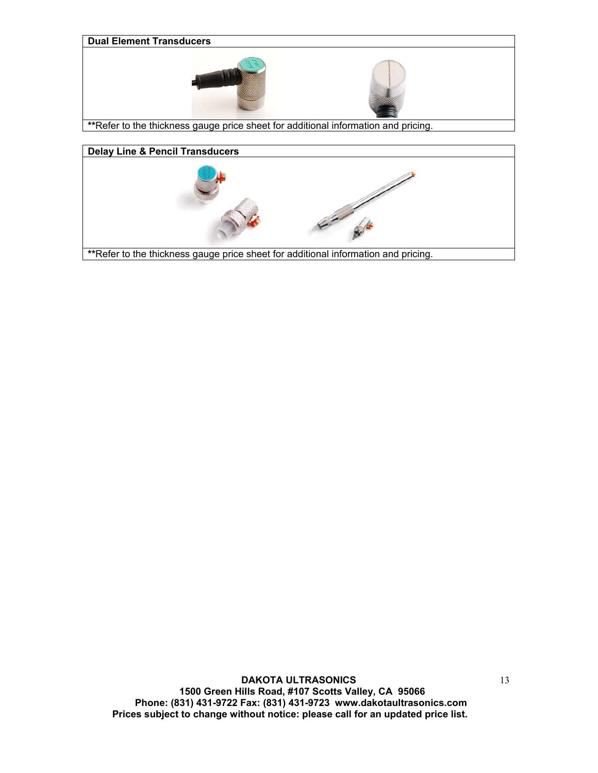

**\*\***Refer to the thickness gauge price sheet for additional information and pricing.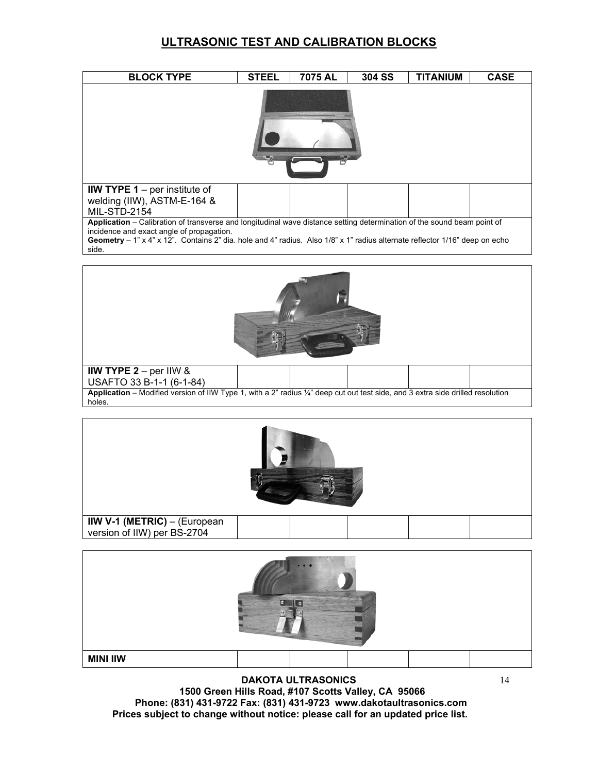#### **ULTRASONIC TEST AND CALIBRATION BLOCKS**

| <b>BLOCK TYPE</b>                                                                                                                                                                                                                                                                                            | <b>STEEL</b> | 7075 AL | <b>304 SS</b> | TITANIUM | <b>CASE</b> |  |  |  |
|--------------------------------------------------------------------------------------------------------------------------------------------------------------------------------------------------------------------------------------------------------------------------------------------------------------|--------------|---------|---------------|----------|-------------|--|--|--|
|                                                                                                                                                                                                                                                                                                              |              |         |               |          |             |  |  |  |
| IIW TYPE $1$ – per institute of<br>welding (IIW), ASTM-E-164 &<br><b>MIL-STD-2154</b>                                                                                                                                                                                                                        |              |         |               |          |             |  |  |  |
| Application - Calibration of transverse and longitudinal wave distance setting determination of the sound beam point of<br>incidence and exact angle of propagation.<br>Geometry - 1" x 4" x 12". Contains 2" dia. hole and 4" radius. Also 1/8" x 1" radius alternate reflector 1/16" deep on echo<br>side. |              |         |               |          |             |  |  |  |
|                                                                                                                                                                                                                                                                                                              |              |         |               |          |             |  |  |  |
| IIW TYPE $2 - per$ IIW &<br>USAFTO 33 B-1-1 (6-1-84)<br>Application - Modified version of IIW Type 1, with a 2" radius '/4" deep cut out test side, and 3 extra side drilled resolution<br>holes.                                                                                                            |              |         |               |          |             |  |  |  |



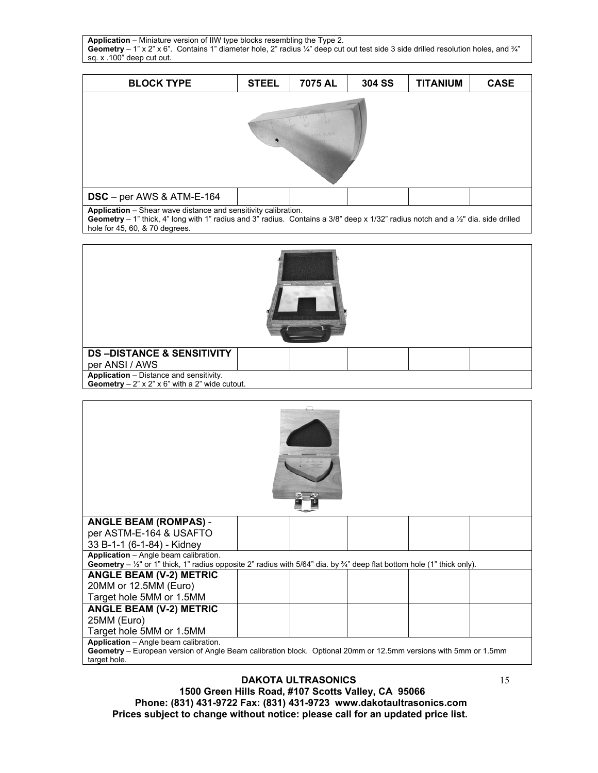**Application** – Miniature version of IIW type blocks resembling the Type 2. Geometry – 1" x 2" x 6". Contains 1" diameter hole, 2" radius ¼" deep cut out test side 3 side drilled resolution holes, and ¾" sq. x .100" deep cut out.

| <b>BLOCK TYPE</b>         | <b>STEEL</b> | 7075 AL | 304 SS | <b>TITANIUM</b> | <b>CASE</b> |  |  |  |
|---------------------------|--------------|---------|--------|-----------------|-------------|--|--|--|
|                           |              |         |        |                 |             |  |  |  |
|                           |              |         |        |                 |             |  |  |  |
|                           |              |         |        |                 |             |  |  |  |
|                           |              |         |        |                 |             |  |  |  |
|                           |              |         |        |                 |             |  |  |  |
|                           |              |         |        |                 |             |  |  |  |
| DSC - per AWS & ATM-E-164 |              |         |        |                 |             |  |  |  |

**Application** – Shear wave distance and sensitivity calibration.

**Geometry** – 1" thick, 4" long with 1" radius and 3" radius. Contains a 3/8" deep x 1/32" radius notch and a ½" dia. side drilled hole for 45, 60, & 70 degrees.

| <b>DS-DISTANCE &amp; SENSITIVITY</b>             |  |  |  |
|--------------------------------------------------|--|--|--|
| per ANSI / AWS                                   |  |  |  |
| Application - Distance and sensitivity.          |  |  |  |
| Geometry $-2$ " x 2" x 6" with a 2" wide cutout. |  |  |  |

| <b>ANGLE BEAM (ROMPAS) -</b>                                                                                                                  |  |  |  |
|-----------------------------------------------------------------------------------------------------------------------------------------------|--|--|--|
| per ASTM-E-164 & USAFTO                                                                                                                       |  |  |  |
| 33 B-1-1 (6-1-84) - Kidney                                                                                                                    |  |  |  |
| Application - Angle beam calibration.                                                                                                         |  |  |  |
| Geometry $-\frac{1}{2}$ " or 1" thick, 1" radius opposite 2" radius with 5/64" dia. by $\frac{3}{4}$ " deep flat bottom hole (1" thick only). |  |  |  |
| <b>ANGLE BEAM (V-2) METRIC</b>                                                                                                                |  |  |  |
| 20MM or 12.5MM (Euro)                                                                                                                         |  |  |  |
| Target hole 5MM or 1.5MM                                                                                                                      |  |  |  |
| <b>ANGLE BEAM (V-2) METRIC</b>                                                                                                                |  |  |  |
| 25MM (Euro)                                                                                                                                   |  |  |  |
| Target hole 5MM or 1.5MM                                                                                                                      |  |  |  |
| Application - Angle beam calibration.                                                                                                         |  |  |  |
| Geometry – European version of Angle Beam calibration block. Optional 20mm or 12.5mm versions with 5mm or 1.5mm<br>target hole.               |  |  |  |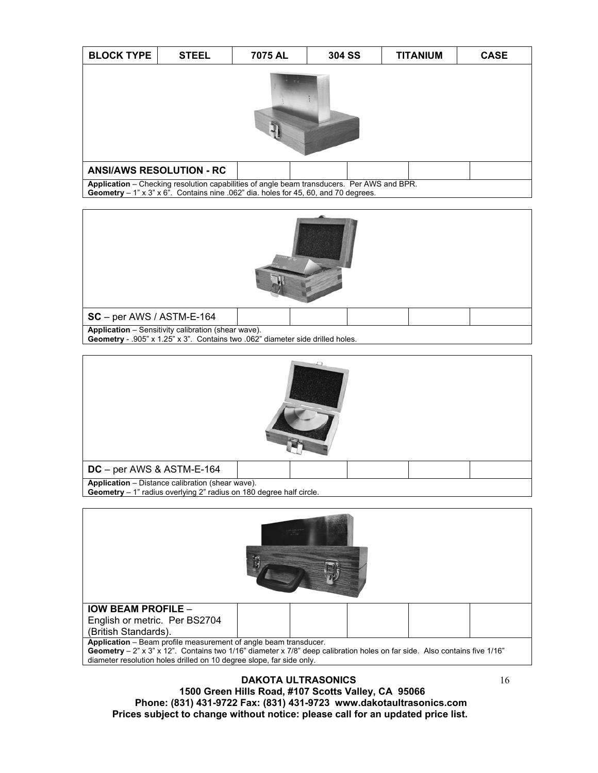| <b>BLOCK TYPE</b>                                                                                                                                                                   | <b>STEEL</b>                    | 7075 AL | <b>304 SS</b> | <b>TITANIUM</b> | <b>CASE</b> |  |  |  |
|-------------------------------------------------------------------------------------------------------------------------------------------------------------------------------------|---------------------------------|---------|---------------|-----------------|-------------|--|--|--|
|                                                                                                                                                                                     |                                 |         |               |                 |             |  |  |  |
|                                                                                                                                                                                     | <b>ANSI/AWS RESOLUTION - RC</b> |         |               |                 |             |  |  |  |
| Application - Checking resolution capabilities of angle beam transducers. Per AWS and BPR.<br>Geometry $-1$ " x 3" x 6". Contains nine .062" dia. holes for 45, 60, and 70 degrees. |                                 |         |               |                 |             |  |  |  |





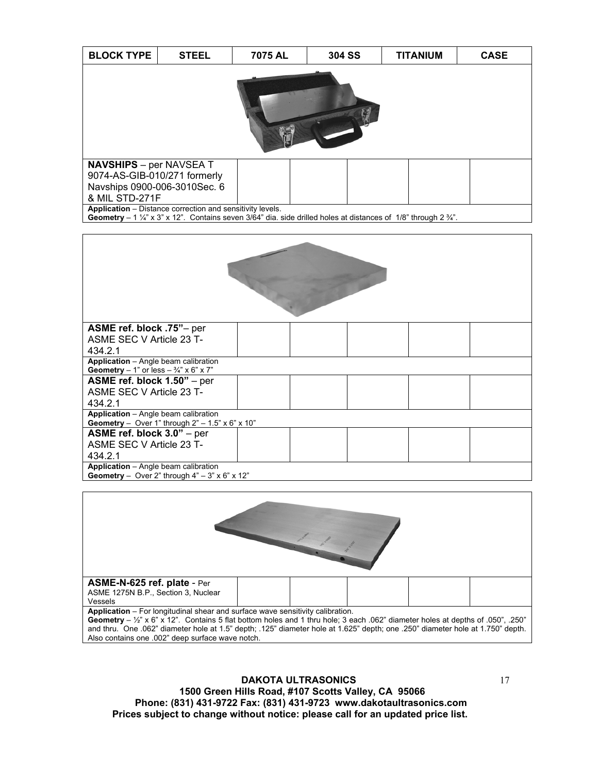| <b>BLOCK TYPE</b>                                                                                                                                                                                              | <b>STEEL</b> | 7075 AL | <b>304 SS</b> | <b>TITANIUM</b> | <b>CASE</b> |  |  |  |
|----------------------------------------------------------------------------------------------------------------------------------------------------------------------------------------------------------------|--------------|---------|---------------|-----------------|-------------|--|--|--|
|                                                                                                                                                                                                                |              |         |               |                 |             |  |  |  |
| <b>NAVSHIPS</b> – per NAVSEA T<br>9074-AS-GIB-010/271 formerly                                                                                                                                                 |              |         |               |                 |             |  |  |  |
| Navships 0900-006-3010Sec. 6                                                                                                                                                                                   |              |         |               |                 |             |  |  |  |
| & MIL STD-271F                                                                                                                                                                                                 |              |         |               |                 |             |  |  |  |
| <b>Application</b> – Distance correction and sensitivity levels.<br><b>Geometry</b> – 1 $\frac{1}{4}$ x 3" x 12". Contains seven 3/64" dia. side drilled holes at distances of 1/8" through 2 $\frac{3}{4}$ ". |              |         |               |                 |             |  |  |  |

| ASME ref. block .75"- per                                                                           |  |  |  |  |  |  |  |
|-----------------------------------------------------------------------------------------------------|--|--|--|--|--|--|--|
| ASME SEC V Article 23 T-                                                                            |  |  |  |  |  |  |  |
| 434.2.1                                                                                             |  |  |  |  |  |  |  |
| Application - Angle beam calibration<br>Geometry – 1" or less – $\frac{3}{4}$ " x 6" x 7"           |  |  |  |  |  |  |  |
| ASME ref. block 1.50" - per                                                                         |  |  |  |  |  |  |  |
| ASME SEC V Article 23 T-                                                                            |  |  |  |  |  |  |  |
| 434.2.1                                                                                             |  |  |  |  |  |  |  |
| Application - Angle beam calibration<br>Geometry - Over 1" through $2" - 1.5" \times 6" \times 10"$ |  |  |  |  |  |  |  |
| ASME ref. block $3.0"$ – per                                                                        |  |  |  |  |  |  |  |
| ASME SEC V Article 23 T-                                                                            |  |  |  |  |  |  |  |
| 434.2.1                                                                                             |  |  |  |  |  |  |  |
| Application - Angle beam calibration                                                                |  |  |  |  |  |  |  |
| Geometry - Over 2" through $4" - 3" \times 6" \times 12"$                                           |  |  |  |  |  |  |  |

| ASME-N-625 ref. plate - Per                                                                                                                |                                                                                                                                |  |  |  |  |  |
|--------------------------------------------------------------------------------------------------------------------------------------------|--------------------------------------------------------------------------------------------------------------------------------|--|--|--|--|--|
| ASME 1275N B.P., Section 3, Nuclear                                                                                                        |                                                                                                                                |  |  |  |  |  |
| Vessels                                                                                                                                    |                                                                                                                                |  |  |  |  |  |
| Application - For longitudinal shear and surface wave sensitivity calibration.                                                             |                                                                                                                                |  |  |  |  |  |
| Geometry – $\frac{1}{2}$ " x 6" x 12". Contains 5 flat bottom holes and 1 thru hole; 3 each .062" diameter holes at depths of .050", .250" |                                                                                                                                |  |  |  |  |  |
|                                                                                                                                            | and thru. One .062" diameter hole at 1.5" depth; .125" diameter hole at 1.625" depth; one .250" diameter hole at 1.750" depth. |  |  |  |  |  |
| Also contains one .002" deep surface wave notch.                                                                                           |                                                                                                                                |  |  |  |  |  |
|                                                                                                                                            |                                                                                                                                |  |  |  |  |  |